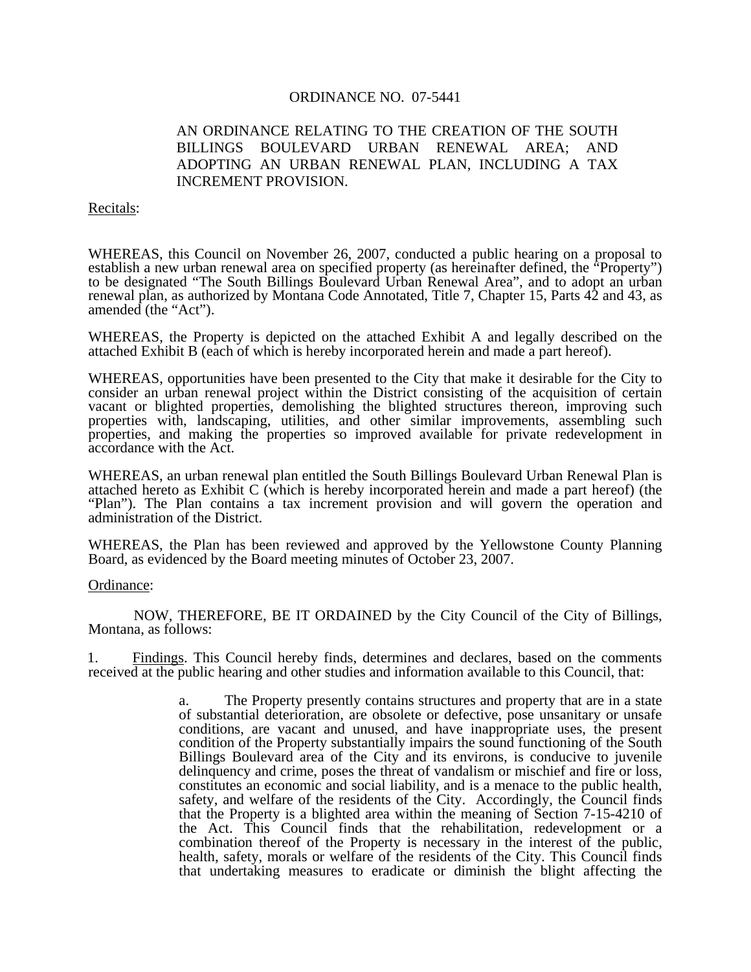## ORDINANCE NO. 07-5441

# AN ORDINANCE RELATING TO THE CREATION OF THE SOUTH BILLINGS BOULEVARD URBAN RENEWAL AREA; AND ADOPTING AN URBAN RENEWAL PLAN, INCLUDING A TAX INCREMENT PROVISION.

#### Recitals:

WHEREAS, this Council on November 26, 2007, conducted a public hearing on a proposal to establish a new urban renewal area on specified property (as hereinafter defined, the "Property") to be designated "The South Billings Boulevard Urban Renewal Area", and to adopt an urban renewal plan, as authorized by Montana Code Annotated, Title 7, Chapter 15, Parts 42 and 43, as amended (the "Act").

WHEREAS, the Property is depicted on the attached Exhibit A and legally described on the attached Exhibit B (each of which is hereby incorporated herein and made a part hereof).

WHEREAS, opportunities have been presented to the City that make it desirable for the City to consider an urban renewal project within the District consisting of the acquisition of certain vacant or blighted properties, demolishing the blighted structures thereon, improving such properties with, landscaping, utilities, and other similar improvements, assembling such properties, and making the properties so improved available for private redevelopment in accordance with the Act.

WHEREAS, an urban renewal plan entitled the South Billings Boulevard Urban Renewal Plan is attached hereto as Exhibit C (which is hereby incorporated herein and made a part hereof) (the "Plan"). The Plan contains a tax increment provision and will govern the operation and administration of the District.

WHEREAS, the Plan has been reviewed and approved by the Yellowstone County Planning Board, as evidenced by the Board meeting minutes of October 23, 2007.

### Ordinance:

NOW, THEREFORE, BE IT ORDAINED by the City Council of the City of Billings, Montana, as follows:

1. Findings. This Council hereby finds, determines and declares, based on the comments received at the public hearing and other studies and information available to this Council, that:

> a. The Property presently contains structures and property that are in a state of substantial deterioration, are obsolete or defective, pose unsanitary or unsafe conditions, are vacant and unused, and have inappropriate uses, the present condition of the Property substantially impairs the sound functioning of the South Billings Boulevard area of the City and its environs, is conducive to juvenile delinquency and crime, poses the threat of vandalism or mischief and fire or loss, constitutes an economic and social liability, and is a menace to the public health, safety, and welfare of the residents of the City. Accordingly, the Council finds that the Property is a blighted area within the meaning of Section 7-15-4210 of the Act. This Council finds that the rehabilitation, redevelopment or a combination thereof of the Property is necessary in the interest of the public, health, safety, morals or welfare of the residents of the City. This Council finds that undertaking measures to eradicate or diminish the blight affecting the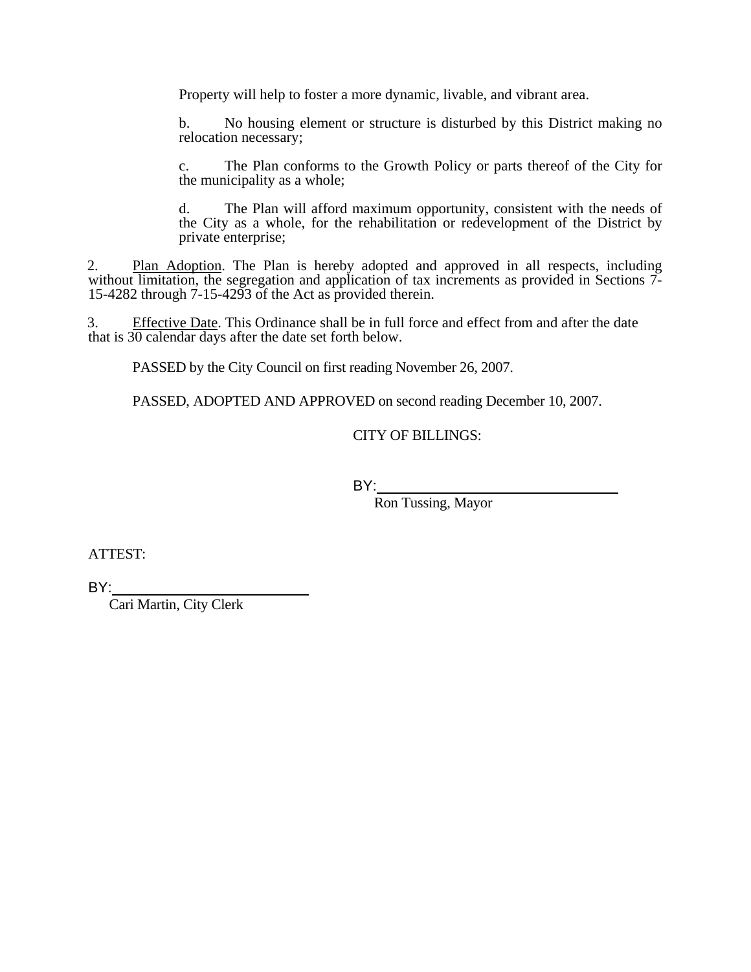Property will help to foster a more dynamic, livable, and vibrant area.

b. No housing element or structure is disturbed by this District making no relocation necessary;

c. The Plan conforms to the Growth Policy or parts thereof of the City for the municipality as a whole;

d. The Plan will afford maximum opportunity, consistent with the needs of the City as a whole, for the rehabilitation or redevelopment of the District by private enterprise;

2. Plan Adoption. The Plan is hereby adopted and approved in all respects, including without limitation, the segregation and application of tax increments as provided in Sections 7-15-4282 through 7-15-4293 of the Act as provided therein.

3. Effective Date. This Ordinance shall be in full force and effect from and after the date that is 30 calendar days after the date set forth below.

PASSED by the City Council on first reading November 26, 2007.

PASSED, ADOPTED AND APPROVED on second reading December 10, 2007.

CITY OF BILLINGS:

and the state of the state of the BY:

Ron Tussing, Mayor

ATTEST:

BY:

Cari Martin, City Clerk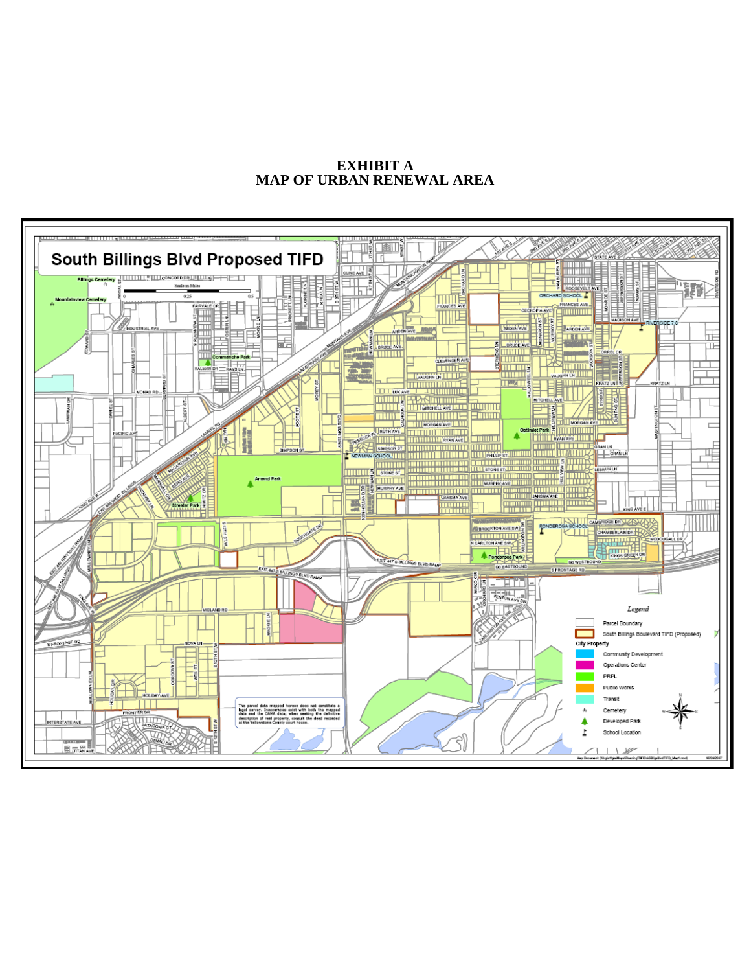**EXHIBIT A MAP OF URBAN RENEWAL AREA**